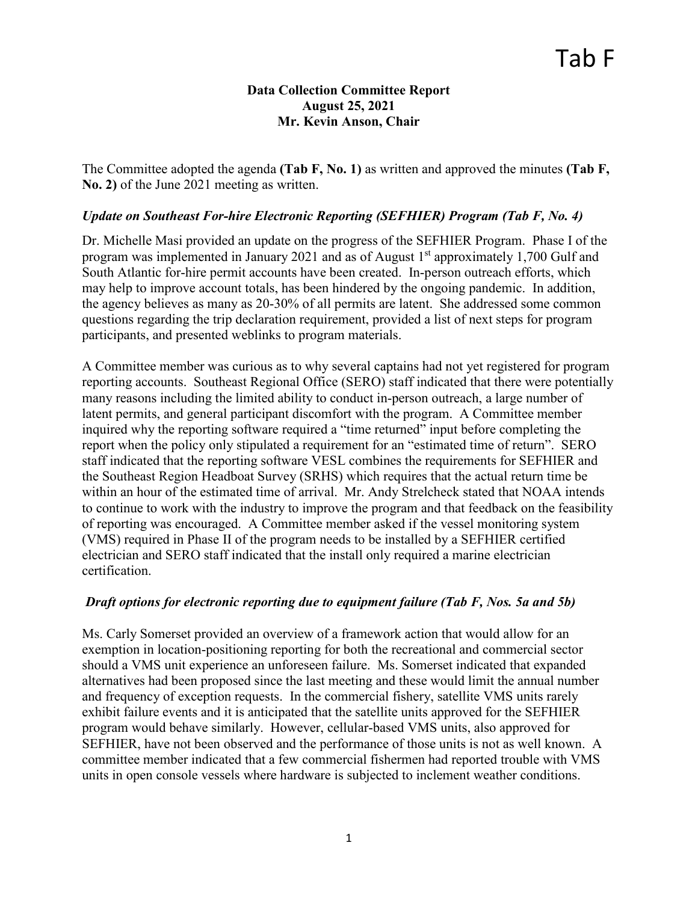## **Data Collection Committee Report August 25, 2021 Mr. Kevin Anson, Chair**

The Committee adopted the agenda **(Tab F, No. 1)** as written and approved the minutes **(Tab F, No. 2)** of the June 2021 meeting as written.

## *Update on Southeast For-hire Electronic Reporting (SEFHIER) Program (Tab F, No. 4)*

Dr. Michelle Masi provided an update on the progress of the SEFHIER Program. Phase I of the program was implemented in January 2021 and as of August  $1<sup>st</sup>$  approximately 1,700 Gulf and South Atlantic for-hire permit accounts have been created. In-person outreach efforts, which may help to improve account totals, has been hindered by the ongoing pandemic. In addition, the agency believes as many as 20-30% of all permits are latent. She addressed some common questions regarding the trip declaration requirement, provided a list of next steps for program participants, and presented weblinks to program materials.

A Committee member was curious as to why several captains had not yet registered for program reporting accounts. Southeast Regional Office (SERO) staff indicated that there were potentially many reasons including the limited ability to conduct in-person outreach, a large number of latent permits, and general participant discomfort with the program. A Committee member inquired why the reporting software required a "time returned" input before completing the report when the policy only stipulated a requirement for an "estimated time of return". SERO staff indicated that the reporting software VESL combines the requirements for SEFHIER and the Southeast Region Headboat Survey (SRHS) which requires that the actual return time be within an hour of the estimated time of arrival. Mr. Andy Strelcheck stated that NOAA intends to continue to work with the industry to improve the program and that feedback on the feasibility of reporting was encouraged. A Committee member asked if the vessel monitoring system (VMS) required in Phase II of the program needs to be installed by a SEFHIER certified electrician and SERO staff indicated that the install only required a marine electrician certification.

## *Draft options for electronic reporting due to equipment failure (Tab F, Nos. 5a and 5b)*

Ms. Carly Somerset provided an overview of a framework action that would allow for an exemption in location-positioning reporting for both the recreational and commercial sector should a VMS unit experience an unforeseen failure. Ms. Somerset indicated that expanded alternatives had been proposed since the last meeting and these would limit the annual number and frequency of exception requests. In the commercial fishery, satellite VMS units rarely exhibit failure events and it is anticipated that the satellite units approved for the SEFHIER program would behave similarly. However, cellular-based VMS units, also approved for SEFHIER, have not been observed and the performance of those units is not as well known. A committee member indicated that a few commercial fishermen had reported trouble with VMS units in open console vessels where hardware is subjected to inclement weather conditions.